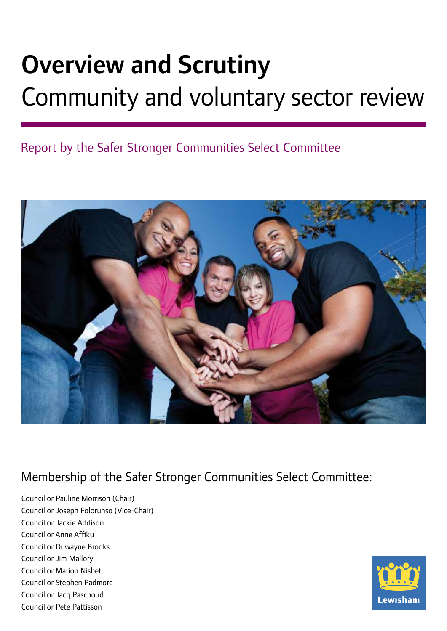# Overview and Scrutiny Community and voluntary sector review

# Report by the Safer Stronger Communities Select Committee



# Membership of the Safer Stronger Communities Select Committee:

Councillor Pauline Morrison (Chair) Councillor Joseph Folorunso (Vice-Chair) Councillor Jackie Addison Councillor Anne Affiku Councillor Duwayne Brooks Councillor Jim Mallory Councillor Marion Nisbet Councillor Stephen Padmore Councillor Jacq Paschoud Councillor Pete Pattisson

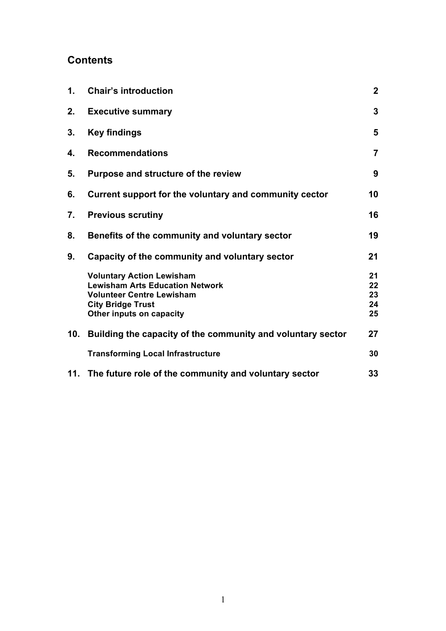# **Contents**

| $\mathbf 1$ . | <b>Chair's introduction</b>                                                                                                                                            | $\mathbf{2}$               |
|---------------|------------------------------------------------------------------------------------------------------------------------------------------------------------------------|----------------------------|
| 2.            | <b>Executive summary</b>                                                                                                                                               | 3                          |
| 3.            | <b>Key findings</b>                                                                                                                                                    | 5                          |
| 4.            | <b>Recommendations</b>                                                                                                                                                 | $\overline{7}$             |
| 5.            | Purpose and structure of the review                                                                                                                                    | 9                          |
| 6.            | Current support for the voluntary and community cector                                                                                                                 | 10                         |
| 7.            | <b>Previous scrutiny</b>                                                                                                                                               | 16                         |
| 8.            | Benefits of the community and voluntary sector                                                                                                                         | 19                         |
| 9.            | Capacity of the community and voluntary sector                                                                                                                         | 21                         |
|               | <b>Voluntary Action Lewisham</b><br><b>Lewisham Arts Education Network</b><br><b>Volunteer Centre Lewisham</b><br><b>City Bridge Trust</b><br>Other inputs on capacity | 21<br>22<br>23<br>24<br>25 |
| 10.           | Building the capacity of the community and voluntary sector                                                                                                            | 27                         |
|               | <b>Transforming Local Infrastructure</b>                                                                                                                               | 30                         |
|               | 11. The future role of the community and voluntary sector                                                                                                              | 33                         |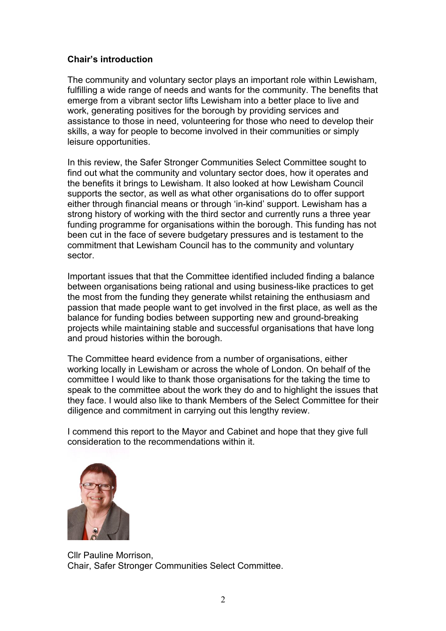# **Chair's introduction**

The community and voluntary sector plays an important role within Lewisham, fulfilling a wide range of needs and wants for the community. The benefits that emerge from a vibrant sector lifts Lewisham into a better place to live and work, generating positives for the borough by providing services and assistance to those in need, volunteering for those who need to develop their skills, a way for people to become involved in their communities or simply leisure opportunities.

In this review, the Safer Stronger Communities Select Committee sought to find out what the community and voluntary sector does, how it operates and the benefits it brings to Lewisham. It also looked at how Lewisham Council supports the sector, as well as what other organisations do to offer support either through financial means or through 'in-kind' support. Lewisham has a strong history of working with the third sector and currently runs a three year funding programme for organisations within the borough. This funding has not been cut in the face of severe budgetary pressures and is testament to the commitment that Lewisham Council has to the community and voluntary sector.

Important issues that that the Committee identified included finding a balance between organisations being rational and using business-like practices to get the most from the funding they generate whilst retaining the enthusiasm and passion that made people want to get involved in the first place, as well as the balance for funding bodies between supporting new and ground-breaking projects while maintaining stable and successful organisations that have long and proud histories within the borough.

The Committee heard evidence from a number of organisations, either working locally in Lewisham or across the whole of London. On behalf of the committee I would like to thank those organisations for the taking the time to speak to the committee about the work they do and to highlight the issues that they face. I would also like to thank Members of the Select Committee for their diligence and commitment in carrying out this lengthy review.

I commend this report to the Mayor and Cabinet and hope that they give full consideration to the recommendations within it.



Cllr Pauline Morrison, Chair, Safer Stronger Communities Select Committee.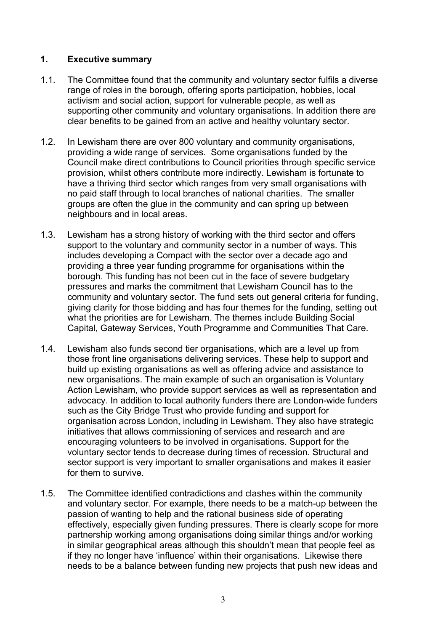# **1. Executive summary**

- 1.1. The Committee found that the community and voluntary sector fulfils a diverse range of roles in the borough, offering sports participation, hobbies, local activism and social action, support for vulnerable people, as well as supporting other community and voluntary organisations. In addition there are clear benefits to be gained from an active and healthy voluntary sector.
- 1.2. In Lewisham there are over 800 voluntary and community organisations, providing a wide range of services. Some organisations funded by the Council make direct contributions to Council priorities through specific service provision, whilst others contribute more indirectly. Lewisham is fortunate to have a thriving third sector which ranges from very small organisations with no paid staff through to local branches of national charities. The smaller groups are often the glue in the community and can spring up between neighbours and in local areas.
- 1.3. Lewisham has a strong history of working with the third sector and offers support to the voluntary and community sector in a number of ways. This includes developing a Compact with the sector over a decade ago and providing a three year funding programme for organisations within the borough. This funding has not been cut in the face of severe budgetary pressures and marks the commitment that Lewisham Council has to the community and voluntary sector. The fund sets out general criteria for funding, giving clarity for those bidding and has four themes for the funding, setting out what the priorities are for Lewisham. The themes include Building Social Capital, Gateway Services, Youth Programme and Communities That Care.
- 1.4. Lewisham also funds second tier organisations, which are a level up from those front line organisations delivering services. These help to support and build up existing organisations as well as offering advice and assistance to new organisations. The main example of such an organisation is Voluntary Action Lewisham, who provide support services as well as representation and advocacy. In addition to local authority funders there are London-wide funders such as the City Bridge Trust who provide funding and support for organisation across London, including in Lewisham. They also have strategic initiatives that allows commissioning of services and research and are encouraging volunteers to be involved in organisations. Support for the voluntary sector tends to decrease during times of recession. Structural and sector support is very important to smaller organisations and makes it easier for them to survive.
- 1.5. The Committee identified contradictions and clashes within the community and voluntary sector. For example, there needs to be a match-up between the passion of wanting to help and the rational business side of operating effectively, especially given funding pressures. There is clearly scope for more partnership working among organisations doing similar things and/or working in similar geographical areas although this shouldn't mean that people feel as if they no longer have 'influence' within their organisations. Likewise there needs to be a balance between funding new projects that push new ideas and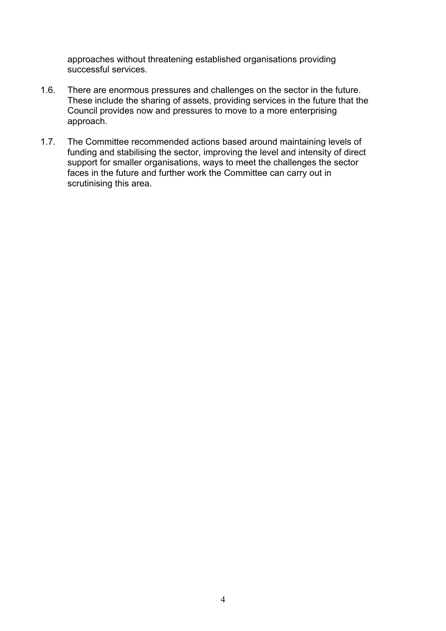approaches without threatening established organisations providing successful services.

- 1.6. There are enormous pressures and challenges on the sector in the future. These include the sharing of assets, providing services in the future that the Council provides now and pressures to move to a more enterprising approach.
- 1.7. The Committee recommended actions based around maintaining levels of funding and stabilising the sector, improving the level and intensity of direct support for smaller organisations, ways to meet the challenges the sector faces in the future and further work the Committee can carry out in scrutinising this area.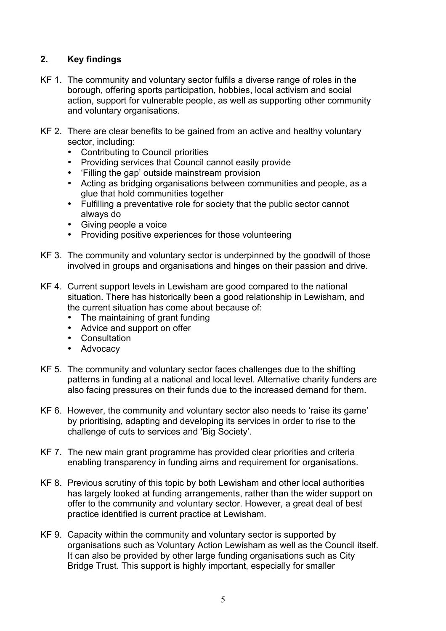# **2. Key findings**

- KF 1. The community and voluntary sector fulfils a diverse range of roles in the borough, offering sports participation, hobbies, local activism and social action, support for vulnerable people, as well as supporting other community and voluntary organisations.
- KF 2. There are clear benefits to be gained from an active and healthy voluntary sector, including:
	- Contributing to Council priorities
	- Providing services that Council cannot easily provide
	- 'Filling the gap' outside mainstream provision
	- Acting as bridging organisations between communities and people, as a glue that hold communities together
	- Fulfilling a preventative role for society that the public sector cannot always do
	- Giving people a voice
	- Providing positive experiences for those volunteering
- KF 3. The community and voluntary sector is underpinned by the goodwill of those involved in groups and organisations and hinges on their passion and drive.
- KF 4. Current support levels in Lewisham are good compared to the national situation. There has historically been a good relationship in Lewisham, and the current situation has come about because of:
	- The maintaining of grant funding
	- Advice and support on offer
	- Consultation
	- Advocacy
- KF 5. The community and voluntary sector faces challenges due to the shifting patterns in funding at a national and local level. Alternative charity funders are also facing pressures on their funds due to the increased demand for them.
- KF 6. However, the community and voluntary sector also needs to 'raise its game' by prioritising, adapting and developing its services in order to rise to the challenge of cuts to services and 'Big Society'.
- KF 7. The new main grant programme has provided clear priorities and criteria enabling transparency in funding aims and requirement for organisations.
- KF 8. Previous scrutiny of this topic by both Lewisham and other local authorities has largely looked at funding arrangements, rather than the wider support on offer to the community and voluntary sector. However, a great deal of best practice identified is current practice at Lewisham.
- KF 9. Capacity within the community and voluntary sector is supported by organisations such as Voluntary Action Lewisham as well as the Council itself. It can also be provided by other large funding organisations such as City Bridge Trust. This support is highly important, especially for smaller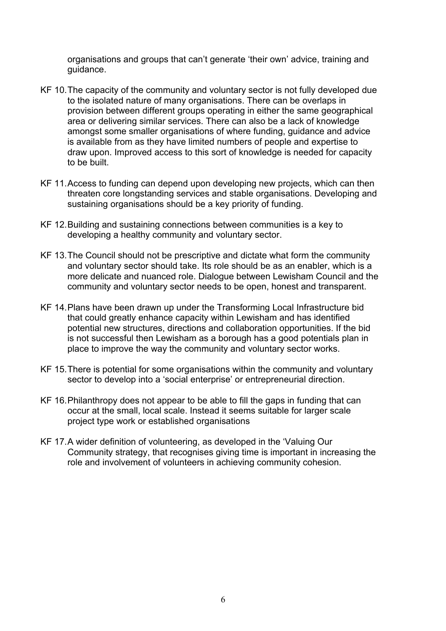organisations and groups that can't generate 'their own' advice, training and guidance.

- KF 10.The capacity of the community and voluntary sector is not fully developed due to the isolated nature of many organisations. There can be overlaps in provision between different groups operating in either the same geographical area or delivering similar services. There can also be a lack of knowledge amongst some smaller organisations of where funding, guidance and advice is available from as they have limited numbers of people and expertise to draw upon. Improved access to this sort of knowledge is needed for capacity to be built.
- KF 11.Access to funding can depend upon developing new projects, which can then threaten core longstanding services and stable organisations. Developing and sustaining organisations should be a key priority of funding.
- KF 12.Building and sustaining connections between communities is a key to developing a healthy community and voluntary sector.
- KF 13.The Council should not be prescriptive and dictate what form the community and voluntary sector should take. Its role should be as an enabler, which is a more delicate and nuanced role. Dialogue between Lewisham Council and the community and voluntary sector needs to be open, honest and transparent.
- KF 14.Plans have been drawn up under the Transforming Local Infrastructure bid that could greatly enhance capacity within Lewisham and has identified potential new structures, directions and collaboration opportunities. If the bid is not successful then Lewisham as a borough has a good potentials plan in place to improve the way the community and voluntary sector works.
- KF 15.There is potential for some organisations within the community and voluntary sector to develop into a 'social enterprise' or entrepreneurial direction.
- KF 16.Philanthropy does not appear to be able to fill the gaps in funding that can occur at the small, local scale. Instead it seems suitable for larger scale project type work or established organisations
- KF 17.A wider definition of volunteering, as developed in the 'Valuing Our Community strategy, that recognises giving time is important in increasing the role and involvement of volunteers in achieving community cohesion.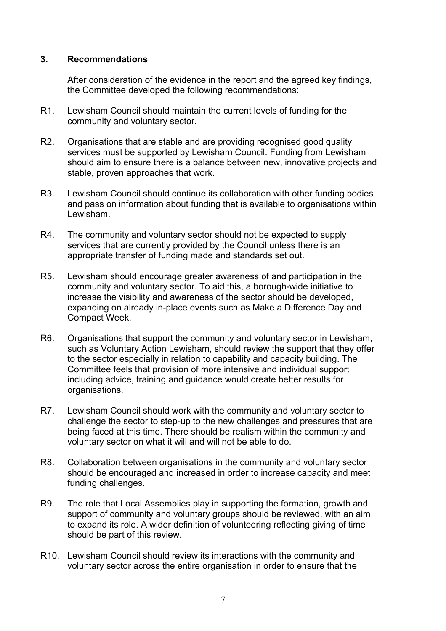### **3. Recommendations**

After consideration of the evidence in the report and the agreed key findings, the Committee developed the following recommendations:

- R1. Lewisham Council should maintain the current levels of funding for the community and voluntary sector.
- R2. Organisations that are stable and are providing recognised good quality services must be supported by Lewisham Council. Funding from Lewisham should aim to ensure there is a balance between new, innovative projects and stable, proven approaches that work.
- R3. Lewisham Council should continue its collaboration with other funding bodies and pass on information about funding that is available to organisations within Lewisham.
- R4. The community and voluntary sector should not be expected to supply services that are currently provided by the Council unless there is an appropriate transfer of funding made and standards set out.
- R5. Lewisham should encourage greater awareness of and participation in the community and voluntary sector. To aid this, a borough-wide initiative to increase the visibility and awareness of the sector should be developed, expanding on already in-place events such as Make a Difference Day and Compact Week.
- R6. Organisations that support the community and voluntary sector in Lewisham, such as Voluntary Action Lewisham, should review the support that they offer to the sector especially in relation to capability and capacity building. The Committee feels that provision of more intensive and individual support including advice, training and guidance would create better results for organisations.
- R7. Lewisham Council should work with the community and voluntary sector to challenge the sector to step-up to the new challenges and pressures that are being faced at this time. There should be realism within the community and voluntary sector on what it will and will not be able to do.
- R8. Collaboration between organisations in the community and voluntary sector should be encouraged and increased in order to increase capacity and meet funding challenges.
- R9. The role that Local Assemblies play in supporting the formation, growth and support of community and voluntary groups should be reviewed, with an aim to expand its role. A wider definition of volunteering reflecting giving of time should be part of this review.
- R10. Lewisham Council should review its interactions with the community and voluntary sector across the entire organisation in order to ensure that the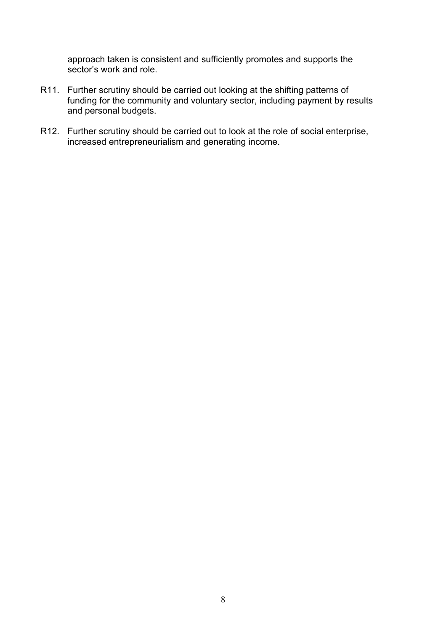approach taken is consistent and sufficiently promotes and supports the sector's work and role.

- R11. Further scrutiny should be carried out looking at the shifting patterns of funding for the community and voluntary sector, including payment by results and personal budgets.
- R12. Further scrutiny should be carried out to look at the role of social enterprise, increased entrepreneurialism and generating income.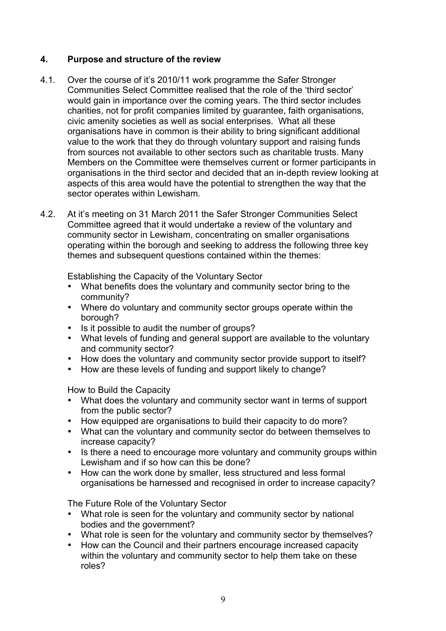# **4. Purpose and structure of the review**

- 4.1. Over the course of it's 2010/11 work programme the Safer Stronger Communities Select Committee realised that the role of the 'third sector' would gain in importance over the coming years. The third sector includes charities, not for profit companies limited by guarantee, faith organisations, civic amenity societies as well as social enterprises. What all these organisations have in common is their ability to bring significant additional value to the work that they do through voluntary support and raising funds from sources not available to other sectors such as charitable trusts. Many Members on the Committee were themselves current or former participants in organisations in the third sector and decided that an in-depth review looking at aspects of this area would have the potential to strengthen the way that the sector operates within Lewisham.
- 4.2. At it's meeting on 31 March 2011 the Safer Stronger Communities Select Committee agreed that it would undertake a review of the voluntary and community sector in Lewisham, concentrating on smaller organisations operating within the borough and seeking to address the following three key themes and subsequent questions contained within the themes:

Establishing the Capacity of the Voluntary Sector

- What benefits does the voluntary and community sector bring to the community?
- Where do voluntary and community sector groups operate within the borough?
- Is it possible to audit the number of groups?
- What levels of funding and general support are available to the voluntary and community sector?
- How does the voluntary and community sector provide support to itself?
- How are these levels of funding and support likely to change?

How to Build the Capacity

- What does the voluntary and community sector want in terms of support from the public sector?
- How equipped are organisations to build their capacity to do more?
- What can the voluntary and community sector do between themselves to increase capacity?
- Is there a need to encourage more voluntary and community groups within Lewisham and if so how can this be done?
- How can the work done by smaller, less structured and less formal organisations be harnessed and recognised in order to increase capacity?

The Future Role of the Voluntary Sector

- What role is seen for the voluntary and community sector by national bodies and the government?
- What role is seen for the voluntary and community sector by themselves?
- How can the Council and their partners encourage increased capacity within the voluntary and community sector to help them take on these roles?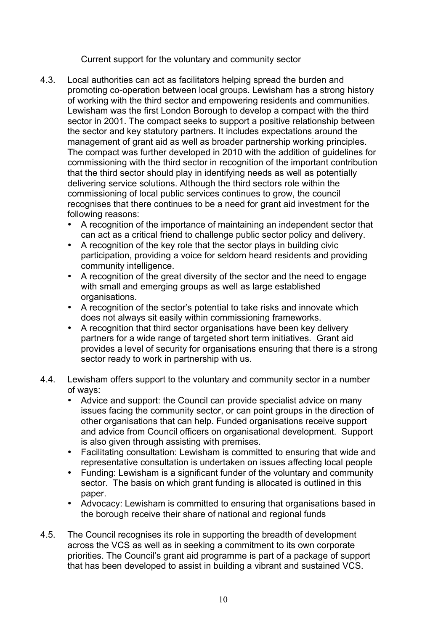Current support for the voluntary and community sector

- 4.3. Local authorities can act as facilitators helping spread the burden and promoting co-operation between local groups. Lewisham has a strong history of working with the third sector and empowering residents and communities. Lewisham was the first London Borough to develop a compact with the third sector in 2001. The compact seeks to support a positive relationship between the sector and key statutory partners. It includes expectations around the management of grant aid as well as broader partnership working principles. The compact was further developed in 2010 with the addition of guidelines for commissioning with the third sector in recognition of the important contribution that the third sector should play in identifying needs as well as potentially delivering service solutions. Although the third sectors role within the commissioning of local public services continues to grow, the council recognises that there continues to be a need for grant aid investment for the following reasons:
	- A recognition of the importance of maintaining an independent sector that can act as a critical friend to challenge public sector policy and delivery.
	- A recognition of the key role that the sector plays in building civic participation, providing a voice for seldom heard residents and providing community intelligence.
	- A recognition of the great diversity of the sector and the need to engage with small and emerging groups as well as large established organisations.
	- A recognition of the sector's potential to take risks and innovate which does not always sit easily within commissioning frameworks.
	- A recognition that third sector organisations have been key delivery partners for a wide range of targeted short term initiatives. Grant aid provides a level of security for organisations ensuring that there is a strong sector ready to work in partnership with us.
- 4.4. Lewisham offers support to the voluntary and community sector in a number of ways:
	- Advice and support: the Council can provide specialist advice on many issues facing the community sector, or can point groups in the direction of other organisations that can help. Funded organisations receive support and advice from Council officers on organisational development. Support is also given through assisting with premises.
	- Facilitating consultation: Lewisham is committed to ensuring that wide and representative consultation is undertaken on issues affecting local people
	- Funding: Lewisham is a significant funder of the voluntary and community sector. The basis on which grant funding is allocated is outlined in this paper.
	- Advocacy: Lewisham is committed to ensuring that organisations based in the borough receive their share of national and regional funds
- 4.5. The Council recognises its role in supporting the breadth of development across the VCS as well as in seeking a commitment to its own corporate priorities. The Council's grant aid programme is part of a package of support that has been developed to assist in building a vibrant and sustained VCS.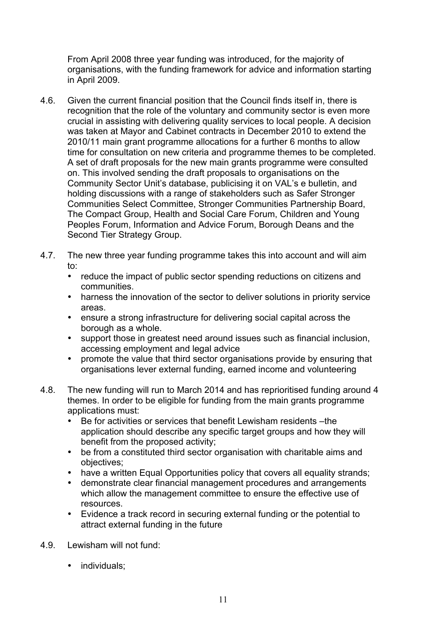From April 2008 three year funding was introduced, for the majority of organisations, with the funding framework for advice and information starting in April 2009.

- 4.6. Given the current financial position that the Council finds itself in, there is recognition that the role of the voluntary and community sector is even more crucial in assisting with delivering quality services to local people. A decision was taken at Mayor and Cabinet contracts in December 2010 to extend the 2010/11 main grant programme allocations for a further 6 months to allow time for consultation on new criteria and programme themes to be completed. A set of draft proposals for the new main grants programme were consulted on. This involved sending the draft proposals to organisations on the Community Sector Unit's database, publicising it on VAL's e bulletin, and holding discussions with a range of stakeholders such as Safer Stronger Communities Select Committee, Stronger Communities Partnership Board, The Compact Group, Health and Social Care Forum, Children and Young Peoples Forum, Information and Advice Forum, Borough Deans and the Second Tier Strategy Group.
- 4.7. The new three year funding programme takes this into account and will aim to:
	- reduce the impact of public sector spending reductions on citizens and communities.
	- harness the innovation of the sector to deliver solutions in priority service areas.
	- ensure a strong infrastructure for delivering social capital across the borough as a whole.
	- support those in greatest need around issues such as financial inclusion, accessing employment and legal advice
	- promote the value that third sector organisations provide by ensuring that organisations lever external funding, earned income and volunteering
- 4.8. The new funding will run to March 2014 and has reprioritised funding around 4 themes. In order to be eligible for funding from the main grants programme applications must:
	- Be for activities or services that benefit Lewisham residents –the application should describe any specific target groups and how they will benefit from the proposed activity;
	- be from a constituted third sector organisation with charitable aims and objectives;
	- have a written Equal Opportunities policy that covers all equality strands;<br>• demonstrate clear financial management procedures and arrangements
	- demonstrate clear financial management procedures and arrangements which allow the management committee to ensure the effective use of resources.
	- Evidence a track record in securing external funding or the potential to attract external funding in the future
- 4.9. Lewisham will not fund:
	- individuals: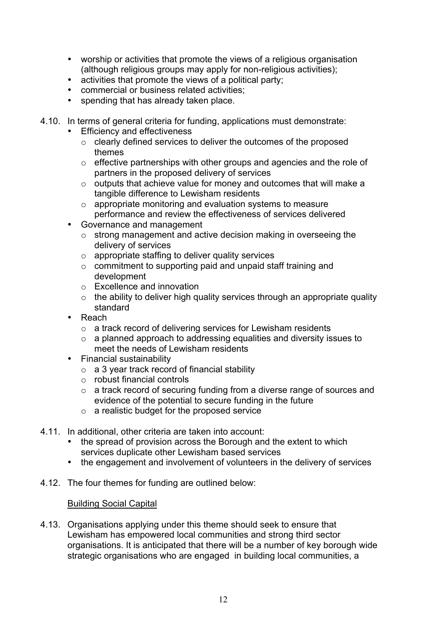- worship or activities that promote the views of a religious organisation (although religious groups may apply for non-religious activities);
- activities that promote the views of a political party;
- commercial or business related activities;
- spending that has already taken place.
- 4.10. In terms of general criteria for funding, applications must demonstrate:
	- **Efficiency and effectiveness** 
		- o clearly defined services to deliver the outcomes of the proposed themes
		- $\circ$  effective partnerships with other groups and agencies and the role of partners in the proposed delivery of services
		- o outputs that achieve value for money and outcomes that will make a tangible difference to Lewisham residents
		- o appropriate monitoring and evaluation systems to measure performance and review the effectiveness of services delivered
	- Governance and management
		- o strong management and active decision making in overseeing the delivery of services
		- $\circ$  appropriate staffing to deliver quality services
		- o commitment to supporting paid and unpaid staff training and development
		- o Excellence and innovation
		- $\circ$  the ability to deliver high quality services through an appropriate quality standard
	- Reach
		- o a track record of delivering services for Lewisham residents
		- o a planned approach to addressing equalities and diversity issues to meet the needs of Lewisham residents
	- Financial sustainability
		- $\circ$  a 3 year track record of financial stability
		- o robust financial controls
		- o a track record of securing funding from a diverse range of sources and evidence of the potential to secure funding in the future
		- $\circ$  a realistic budget for the proposed service
- 4.11. In additional, other criteria are taken into account:
	- the spread of provision across the Borough and the extent to which services duplicate other Lewisham based services
	- the engagement and involvement of volunteers in the delivery of services
- 4.12. The four themes for funding are outlined below:

### Building Social Capital

4.13. Organisations applying under this theme should seek to ensure that Lewisham has empowered local communities and strong third sector organisations. It is anticipated that there will be a number of key borough wide strategic organisations who are engaged in building local communities, a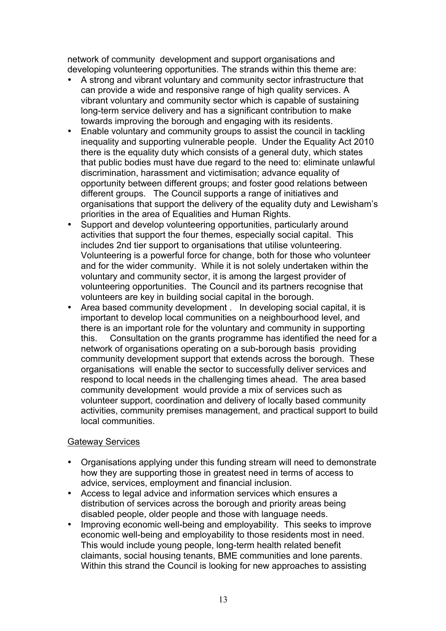network of community development and support organisations and developing volunteering opportunities. The strands within this theme are:

- A strong and vibrant voluntary and community sector infrastructure that can provide a wide and responsive range of high quality services. A vibrant voluntary and community sector which is capable of sustaining long-term service delivery and has a significant contribution to make towards improving the borough and engaging with its residents.
- Enable voluntary and community groups to assist the council in tackling inequality and supporting vulnerable people. Under the Equality Act 2010 there is the equality duty which consists of a general duty, which states that public bodies must have due regard to the need to: eliminate unlawful discrimination, harassment and victimisation; advance equality of opportunity between different groups; and foster good relations between different groups. The Council supports a range of initiatives and organisations that support the delivery of the equality duty and Lewisham's priorities in the area of Equalities and Human Rights.
- Support and develop volunteering opportunities, particularly around activities that support the four themes, especially social capital. This includes 2nd tier support to organisations that utilise volunteering. Volunteering is a powerful force for change, both for those who volunteer and for the wider community. While it is not solely undertaken within the voluntary and community sector, it is among the largest provider of volunteering opportunities. The Council and its partners recognise that volunteers are key in building social capital in the borough.
- Area based community development . In developing social capital, it is important to develop local communities on a neighbourhood level, and there is an important role for the voluntary and community in supporting this. Consultation on the grants programme has identified the need for a network of organisations operating on a sub-borough basis providing community development support that extends across the borough. These organisations will enable the sector to successfully deliver services and respond to local needs in the challenging times ahead. The area based community development would provide a mix of services such as volunteer support, coordination and delivery of locally based community activities, community premises management, and practical support to build local communities.

### Gateway Services

- Organisations applying under this funding stream will need to demonstrate how they are supporting those in greatest need in terms of access to advice, services, employment and financial inclusion.
- Access to legal advice and information services which ensures a distribution of services across the borough and priority areas being disabled people, older people and those with language needs.
- Improving economic well-being and employability. This seeks to improve economic well-being and employability to those residents most in need. This would include young people, long-term health related benefit claimants, social housing tenants, BME communities and lone parents. Within this strand the Council is looking for new approaches to assisting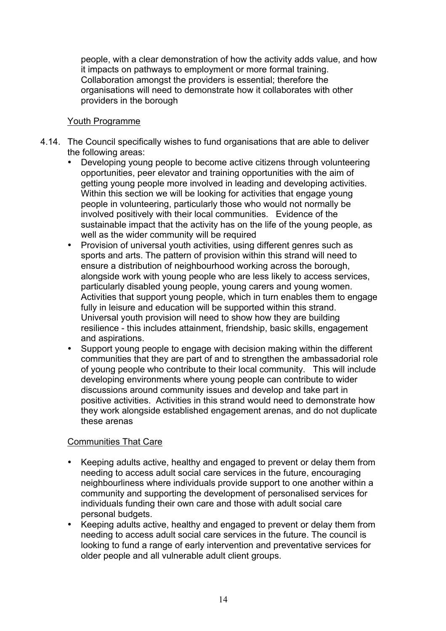people, with a clear demonstration of how the activity adds value, and how it impacts on pathways to employment or more formal training. Collaboration amongst the providers is essential; therefore the organisations will need to demonstrate how it collaborates with other providers in the borough

# Youth Programme

- 4.14. The Council specifically wishes to fund organisations that are able to deliver the following areas:
	- Developing young people to become active citizens through volunteering opportunities, peer elevator and training opportunities with the aim of getting young people more involved in leading and developing activities. Within this section we will be looking for activities that engage young people in volunteering, particularly those who would not normally be involved positively with their local communities. Evidence of the sustainable impact that the activity has on the life of the young people, as well as the wider community will be required
	- Provision of universal youth activities, using different genres such as sports and arts. The pattern of provision within this strand will need to ensure a distribution of neighbourhood working across the borough, alongside work with young people who are less likely to access services, particularly disabled young people, young carers and young women. Activities that support young people, which in turn enables them to engage fully in leisure and education will be supported within this strand. Universal youth provision will need to show how they are building resilience - this includes attainment, friendship, basic skills, engagement and aspirations.
	- Support young people to engage with decision making within the different communities that they are part of and to strengthen the ambassadorial role of young people who contribute to their local community. This will include developing environments where young people can contribute to wider discussions around community issues and develop and take part in positive activities. Activities in this strand would need to demonstrate how they work alongside established engagement arenas, and do not duplicate these arenas

# Communities That Care

- Keeping adults active, healthy and engaged to prevent or delay them from needing to access adult social care services in the future, encouraging neighbourliness where individuals provide support to one another within a community and supporting the development of personalised services for individuals funding their own care and those with adult social care personal budgets.
- Keeping adults active, healthy and engaged to prevent or delay them from needing to access adult social care services in the future. The council is looking to fund a range of early intervention and preventative services for older people and all vulnerable adult client groups.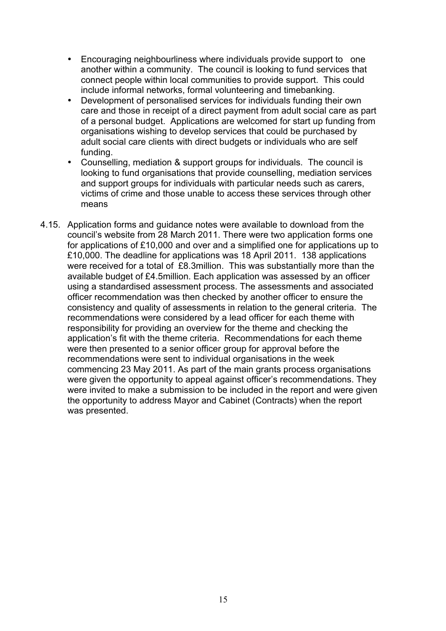- Encouraging neighbourliness where individuals provide support to one another within a community. The council is looking to fund services that connect people within local communities to provide support. This could include informal networks, formal volunteering and timebanking.
- Development of personalised services for individuals funding their own care and those in receipt of a direct payment from adult social care as part of a personal budget. Applications are welcomed for start up funding from organisations wishing to develop services that could be purchased by adult social care clients with direct budgets or individuals who are self funding.
- Counselling, mediation & support groups for individuals. The council is looking to fund organisations that provide counselling, mediation services and support groups for individuals with particular needs such as carers, victims of crime and those unable to access these services through other means
- 4.15. Application forms and guidance notes were available to download from the council's website from 28 March 2011. There were two application forms one for applications of £10,000 and over and a simplified one for applications up to £10,000. The deadline for applications was 18 April 2011. 138 applications were received for a total of £8.3million. This was substantially more than the available budget of £4.5million. Each application was assessed by an officer using a standardised assessment process. The assessments and associated officer recommendation was then checked by another officer to ensure the consistency and quality of assessments in relation to the general criteria. The recommendations were considered by a lead officer for each theme with responsibility for providing an overview for the theme and checking the application's fit with the theme criteria. Recommendations for each theme were then presented to a senior officer group for approval before the recommendations were sent to individual organisations in the week commencing 23 May 2011. As part of the main grants process organisations were given the opportunity to appeal against officer's recommendations. They were invited to make a submission to be included in the report and were given the opportunity to address Mayor and Cabinet (Contracts) when the report was presented.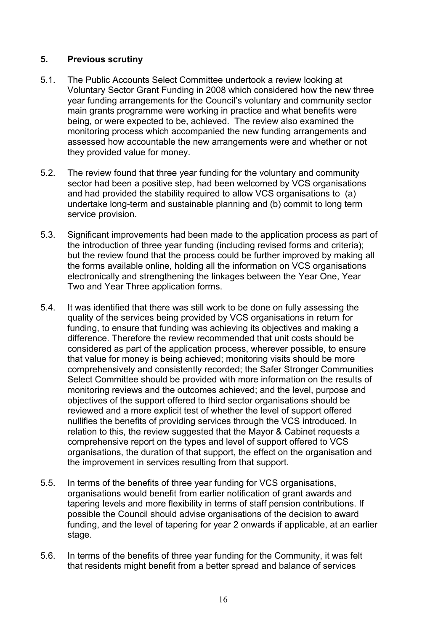# **5. Previous scrutiny**

- 5.1. The Public Accounts Select Committee undertook a review looking at Voluntary Sector Grant Funding in 2008 which considered how the new three year funding arrangements for the Council's voluntary and community sector main grants programme were working in practice and what benefits were being, or were expected to be, achieved. The review also examined the monitoring process which accompanied the new funding arrangements and assessed how accountable the new arrangements were and whether or not they provided value for money.
- 5.2. The review found that three year funding for the voluntary and community sector had been a positive step, had been welcomed by VCS organisations and had provided the stability required to allow VCS organisations to (a) undertake long-term and sustainable planning and (b) commit to long term service provision.
- 5.3. Significant improvements had been made to the application process as part of the introduction of three year funding (including revised forms and criteria); but the review found that the process could be further improved by making all the forms available online, holding all the information on VCS organisations electronically and strengthening the linkages between the Year One, Year Two and Year Three application forms.
- 5.4. It was identified that there was still work to be done on fully assessing the quality of the services being provided by VCS organisations in return for funding, to ensure that funding was achieving its objectives and making a difference. Therefore the review recommended that unit costs should be considered as part of the application process, wherever possible, to ensure that value for money is being achieved; monitoring visits should be more comprehensively and consistently recorded; the Safer Stronger Communities Select Committee should be provided with more information on the results of monitoring reviews and the outcomes achieved; and the level, purpose and objectives of the support offered to third sector organisations should be reviewed and a more explicit test of whether the level of support offered nullifies the benefits of providing services through the VCS introduced. In relation to this, the review suggested that the Mayor & Cabinet requests a comprehensive report on the types and level of support offered to VCS organisations, the duration of that support, the effect on the organisation and the improvement in services resulting from that support.
- 5.5. In terms of the benefits of three year funding for VCS organisations, organisations would benefit from earlier notification of grant awards and tapering levels and more flexibility in terms of staff pension contributions. If possible the Council should advise organisations of the decision to award funding, and the level of tapering for year 2 onwards if applicable, at an earlier stage.
- 5.6. In terms of the benefits of three year funding for the Community, it was felt that residents might benefit from a better spread and balance of services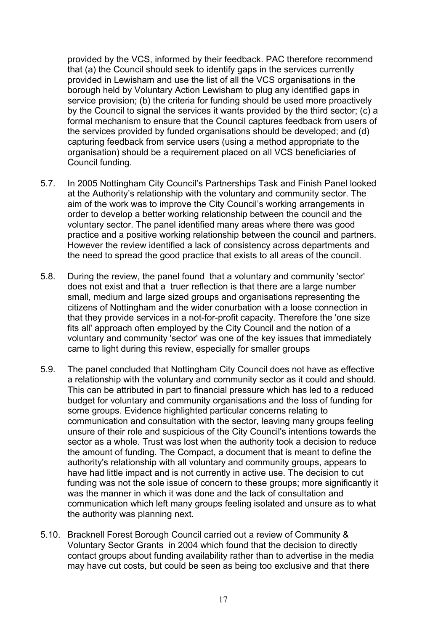provided by the VCS, informed by their feedback. PAC therefore recommend that (a) the Council should seek to identify gaps in the services currently provided in Lewisham and use the list of all the VCS organisations in the borough held by Voluntary Action Lewisham to plug any identified gaps in service provision; (b) the criteria for funding should be used more proactively by the Council to signal the services it wants provided by the third sector; (c) a formal mechanism to ensure that the Council captures feedback from users of the services provided by funded organisations should be developed; and (d) capturing feedback from service users (using a method appropriate to the organisation) should be a requirement placed on all VCS beneficiaries of Council funding.

- 5.7. In 2005 Nottingham City Council's Partnerships Task and Finish Panel looked at the Authority's relationship with the voluntary and community sector. The aim of the work was to improve the City Council's working arrangements in order to develop a better working relationship between the council and the voluntary sector. The panel identified many areas where there was good practice and a positive working relationship between the council and partners. However the review identified a lack of consistency across departments and the need to spread the good practice that exists to all areas of the council.
- 5.8. During the review, the panel found that a voluntary and community 'sector' does not exist and that a truer reflection is that there are a large number small, medium and large sized groups and organisations representing the citizens of Nottingham and the wider conurbation with a loose connection in that they provide services in a not-for-profit capacity. Therefore the 'one size fits all' approach often employed by the City Council and the notion of a voluntary and community 'sector' was one of the key issues that immediately came to light during this review, especially for smaller groups
- 5.9. The panel concluded that Nottingham City Council does not have as effective a relationship with the voluntary and community sector as it could and should. This can be attributed in part to financial pressure which has led to a reduced budget for voluntary and community organisations and the loss of funding for some groups. Evidence highlighted particular concerns relating to communication and consultation with the sector, leaving many groups feeling unsure of their role and suspicious of the City Council's intentions towards the sector as a whole. Trust was lost when the authority took a decision to reduce the amount of funding. The Compact, a document that is meant to define the authority's relationship with all voluntary and community groups, appears to have had little impact and is not currently in active use. The decision to cut funding was not the sole issue of concern to these groups; more significantly it was the manner in which it was done and the lack of consultation and communication which left many groups feeling isolated and unsure as to what the authority was planning next.
- 5.10. Bracknell Forest Borough Council carried out a review of Community & Voluntary Sector Grants in 2004 which found that the decision to directly contact groups about funding availability rather than to advertise in the media may have cut costs, but could be seen as being too exclusive and that there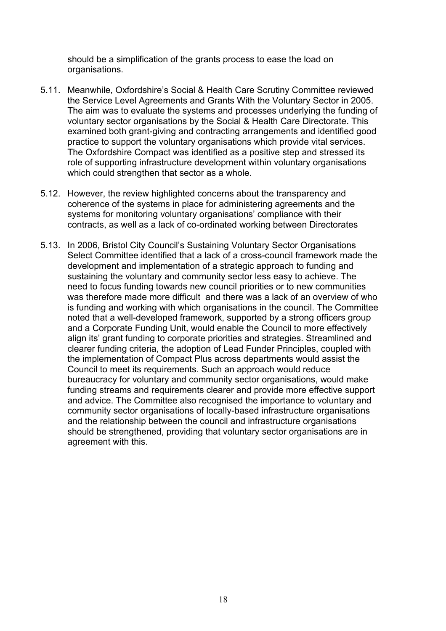should be a simplification of the grants process to ease the load on organisations.

- 5.11. Meanwhile, Oxfordshire's Social & Health Care Scrutiny Committee reviewed the Service Level Agreements and Grants With the Voluntary Sector in 2005. The aim was to evaluate the systems and processes underlying the funding of voluntary sector organisations by the Social & Health Care Directorate. This examined both grant-giving and contracting arrangements and identified good practice to support the voluntary organisations which provide vital services. The Oxfordshire Compact was identified as a positive step and stressed its role of supporting infrastructure development within voluntary organisations which could strengthen that sector as a whole.
- 5.12. However, the review highlighted concerns about the transparency and coherence of the systems in place for administering agreements and the systems for monitoring voluntary organisations' compliance with their contracts, as well as a lack of co-ordinated working between Directorates
- 5.13. In 2006, Bristol City Council's Sustaining Voluntary Sector Organisations Select Committee identified that a lack of a cross-council framework made the development and implementation of a strategic approach to funding and sustaining the voluntary and community sector less easy to achieve. The need to focus funding towards new council priorities or to new communities was therefore made more difficult and there was a lack of an overview of who is funding and working with which organisations in the council. The Committee noted that a well-developed framework, supported by a strong officers group and a Corporate Funding Unit, would enable the Council to more effectively align its' grant funding to corporate priorities and strategies. Streamlined and clearer funding criteria, the adoption of Lead Funder Principles, coupled with the implementation of Compact Plus across departments would assist the Council to meet its requirements. Such an approach would reduce bureaucracy for voluntary and community sector organisations, would make funding streams and requirements clearer and provide more effective support and advice. The Committee also recognised the importance to voluntary and community sector organisations of locally-based infrastructure organisations and the relationship between the council and infrastructure organisations should be strengthened, providing that voluntary sector organisations are in agreement with this.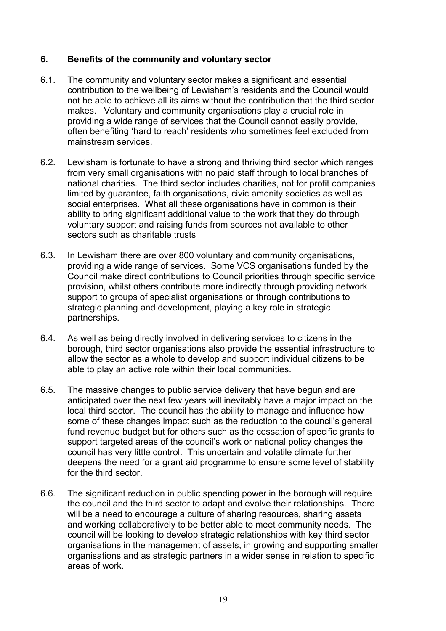# **6. Benefits of the community and voluntary sector**

- 6.1. The community and voluntary sector makes a significant and essential contribution to the wellbeing of Lewisham's residents and the Council would not be able to achieve all its aims without the contribution that the third sector makes. Voluntary and community organisations play a crucial role in providing a wide range of services that the Council cannot easily provide, often benefiting 'hard to reach' residents who sometimes feel excluded from mainstream services.
- 6.2. Lewisham is fortunate to have a strong and thriving third sector which ranges from very small organisations with no paid staff through to local branches of national charities. The third sector includes charities, not for profit companies limited by guarantee, faith organisations, civic amenity societies as well as social enterprises. What all these organisations have in common is their ability to bring significant additional value to the work that they do through voluntary support and raising funds from sources not available to other sectors such as charitable trusts
- 6.3. In Lewisham there are over 800 voluntary and community organisations, providing a wide range of services. Some VCS organisations funded by the Council make direct contributions to Council priorities through specific service provision, whilst others contribute more indirectly through providing network support to groups of specialist organisations or through contributions to strategic planning and development, playing a key role in strategic partnerships.
- 6.4. As well as being directly involved in delivering services to citizens in the borough, third sector organisations also provide the essential infrastructure to allow the sector as a whole to develop and support individual citizens to be able to play an active role within their local communities.
- 6.5. The massive changes to public service delivery that have begun and are anticipated over the next few years will inevitably have a major impact on the local third sector. The council has the ability to manage and influence how some of these changes impact such as the reduction to the council's general fund revenue budget but for others such as the cessation of specific grants to support targeted areas of the council's work or national policy changes the council has very little control. This uncertain and volatile climate further deepens the need for a grant aid programme to ensure some level of stability for the third sector.
- 6.6. The significant reduction in public spending power in the borough will require the council and the third sector to adapt and evolve their relationships. There will be a need to encourage a culture of sharing resources, sharing assets and working collaboratively to be better able to meet community needs. The council will be looking to develop strategic relationships with key third sector organisations in the management of assets, in growing and supporting smaller organisations and as strategic partners in a wider sense in relation to specific areas of work.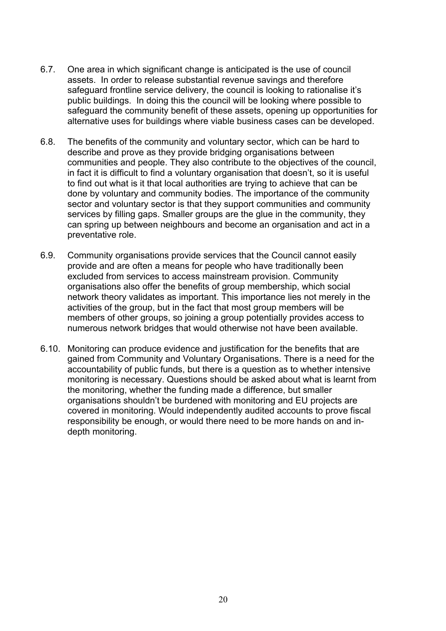- 6.7. One area in which significant change is anticipated is the use of council assets. In order to release substantial revenue savings and therefore safeguard frontline service delivery, the council is looking to rationalise it's public buildings. In doing this the council will be looking where possible to safeguard the community benefit of these assets, opening up opportunities for alternative uses for buildings where viable business cases can be developed.
- 6.8. The benefits of the community and voluntary sector, which can be hard to describe and prove as they provide bridging organisations between communities and people. They also contribute to the objectives of the council, in fact it is difficult to find a voluntary organisation that doesn't, so it is useful to find out what is it that local authorities are trying to achieve that can be done by voluntary and community bodies. The importance of the community sector and voluntary sector is that they support communities and community services by filling gaps. Smaller groups are the glue in the community, they can spring up between neighbours and become an organisation and act in a preventative role.
- 6.9. Community organisations provide services that the Council cannot easily provide and are often a means for people who have traditionally been excluded from services to access mainstream provision. Community organisations also offer the benefits of group membership, which social network theory validates as important. This importance lies not merely in the activities of the group, but in the fact that most group members will be members of other groups, so joining a group potentially provides access to numerous network bridges that would otherwise not have been available.
- 6.10. Monitoring can produce evidence and justification for the benefits that are gained from Community and Voluntary Organisations. There is a need for the accountability of public funds, but there is a question as to whether intensive monitoring is necessary. Questions should be asked about what is learnt from the monitoring, whether the funding made a difference, but smaller organisations shouldn't be burdened with monitoring and EU projects are covered in monitoring. Would independently audited accounts to prove fiscal responsibility be enough, or would there need to be more hands on and indepth monitoring.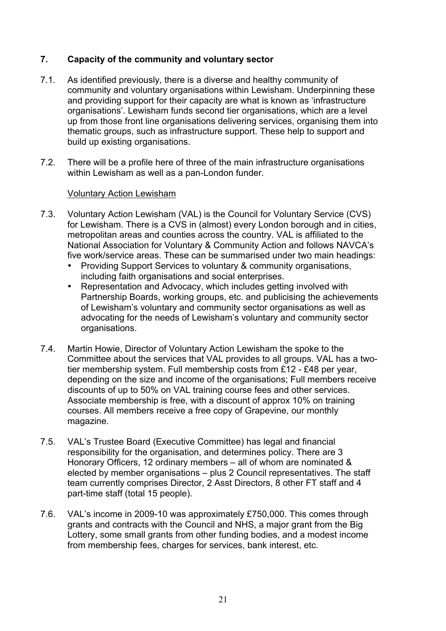# **7. Capacity of the community and voluntary sector**

- 7.1. As identified previously, there is a diverse and healthy community of community and voluntary organisations within Lewisham. Underpinning these and providing support for their capacity are what is known as 'infrastructure organisations'. Lewisham funds second tier organisations, which are a level up from those front line organisations delivering services, organising them into thematic groups, such as infrastructure support. These help to support and build up existing organisations.
- 7.2. There will be a profile here of three of the main infrastructure organisations within Lewisham as well as a pan-London funder.

# Voluntary Action Lewisham

- 7.3. Voluntary Action Lewisham (VAL) is the Council for Voluntary Service (CVS) for Lewisham. There is a CVS in (almost) every London borough and in cities, metropolitan areas and counties across the country. VAL is affiliated to the National Association for Voluntary & Community Action and follows NAVCA's five work/service areas. These can be summarised under two main headings:
	- Providing Support Services to voluntary & community organisations, including faith organisations and social enterprises.
	- Representation and Advocacy, which includes getting involved with Partnership Boards, working groups, etc. and publicising the achievements of Lewisham's voluntary and community sector organisations as well as advocating for the needs of Lewisham's voluntary and community sector organisations.
- 7.4. Martin Howie, Director of Voluntary Action Lewisham the spoke to the Committee about the services that VAL provides to all groups. VAL has a twotier membership system. Full membership costs from £12 - £48 per year, depending on the size and income of the organisations; Full members receive discounts of up to 50% on VAL training course fees and other services. Associate membership is free, with a discount of approx 10% on training courses. All members receive a free copy of Grapevine, our monthly magazine.
- 7.5. VAL's Trustee Board (Executive Committee) has legal and financial responsibility for the organisation, and determines policy. There are 3 Honorary Officers, 12 ordinary members – all of whom are nominated & elected by member organisations – plus 2 Council representatives. The staff team currently comprises Director, 2 Asst Directors, 8 other FT staff and 4 part-time staff (total 15 people).
- 7.6. VAL's income in 2009-10 was approximately £750,000. This comes through grants and contracts with the Council and NHS, a major grant from the Big Lottery, some small grants from other funding bodies, and a modest income from membership fees, charges for services, bank interest, etc.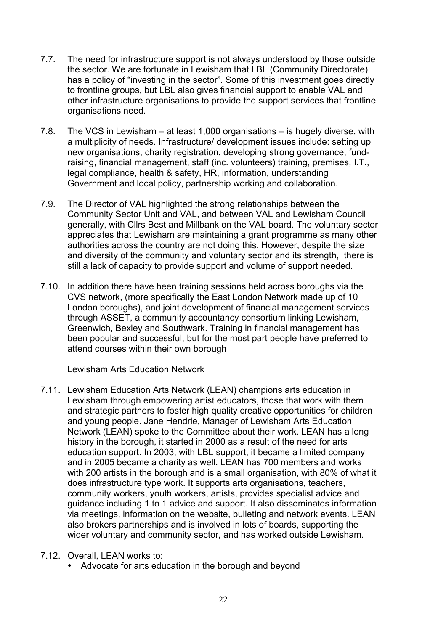- 7.7. The need for infrastructure support is not always understood by those outside the sector. We are fortunate in Lewisham that LBL (Community Directorate) has a policy of "investing in the sector". Some of this investment goes directly to frontline groups, but LBL also gives financial support to enable VAL and other infrastructure organisations to provide the support services that frontline organisations need.
- 7.8. The VCS in Lewisham at least 1,000 organisations is hugely diverse, with a multiplicity of needs. Infrastructure/ development issues include: setting up new organisations, charity registration, developing strong governance, fundraising, financial management, staff (inc. volunteers) training, premises, I.T., legal compliance, health & safety, HR, information, understanding Government and local policy, partnership working and collaboration.
- 7.9. The Director of VAL highlighted the strong relationships between the Community Sector Unit and VAL, and between VAL and Lewisham Council generally, with Cllrs Best and Millbank on the VAL board. The voluntary sector appreciates that Lewisham are maintaining a grant programme as many other authorities across the country are not doing this. However, despite the size and diversity of the community and voluntary sector and its strength, there is still a lack of capacity to provide support and volume of support needed.
- 7.10. In addition there have been training sessions held across boroughs via the CVS network, (more specifically the East London Network made up of 10 London boroughs), and joint development of financial management services through ASSET, a community accountancy consortium linking Lewisham, Greenwich, Bexley and Southwark. Training in financial management has been popular and successful, but for the most part people have preferred to attend courses within their own borough

### Lewisham Arts Education Network

7.11. Lewisham Education Arts Network (LEAN) champions arts education in Lewisham through empowering artist educators, those that work with them and strategic partners to foster high quality creative opportunities for children and young people. Jane Hendrie, Manager of Lewisham Arts Education Network (LEAN) spoke to the Committee about their work. LEAN has a long history in the borough, it started in 2000 as a result of the need for arts education support. In 2003, with LBL support, it became a limited company and in 2005 became a charity as well. LEAN has 700 members and works with 200 artists in the borough and is a small organisation, with 80% of what it does infrastructure type work. It supports arts organisations, teachers, community workers, youth workers, artists, provides specialist advice and guidance including 1 to 1 advice and support. It also disseminates information via meetings, information on the website, bulleting and network events. LEAN also brokers partnerships and is involved in lots of boards, supporting the wider voluntary and community sector, and has worked outside Lewisham.

# 7.12. Overall, LEAN works to:

• Advocate for arts education in the borough and beyond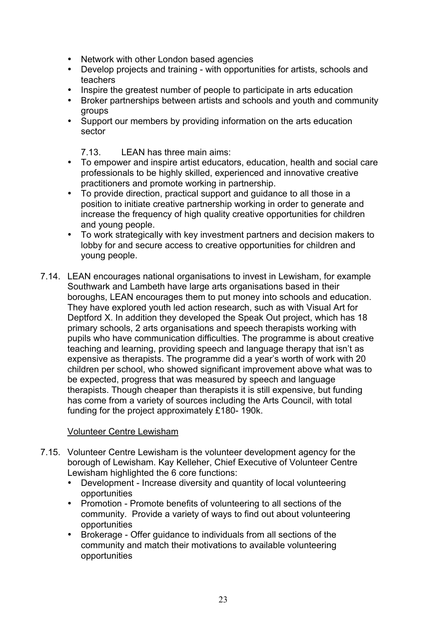- Network with other London based agencies
- Develop projects and training with opportunities for artists, schools and teachers
- Inspire the greatest number of people to participate in arts education
- Broker partnerships between artists and schools and youth and community groups
- Support our members by providing information on the arts education sector

7.13. LEAN has three main aims:

- To empower and inspire artist educators, education, health and social care professionals to be highly skilled, experienced and innovative creative practitioners and promote working in partnership.
- To provide direction, practical support and guidance to all those in a position to initiate creative partnership working in order to generate and increase the frequency of high quality creative opportunities for children and young people.
- To work strategically with key investment partners and decision makers to lobby for and secure access to creative opportunities for children and young people.
- 7.14. LEAN encourages national organisations to invest in Lewisham, for example Southwark and Lambeth have large arts organisations based in their boroughs, LEAN encourages them to put money into schools and education. They have explored youth led action research, such as with Visual Art for Deptford X. In addition they developed the Speak Out project, which has 18 primary schools, 2 arts organisations and speech therapists working with pupils who have communication difficulties. The programme is about creative teaching and learning, providing speech and language therapy that isn't as expensive as therapists. The programme did a year's worth of work with 20 children per school, who showed significant improvement above what was to be expected, progress that was measured by speech and language therapists. Though cheaper than therapists it is still expensive, but funding has come from a variety of sources including the Arts Council, with total funding for the project approximately £180- 190k.

### Volunteer Centre Lewisham

- 7.15. Volunteer Centre Lewisham is the volunteer development agency for the borough of Lewisham. Kay Kelleher, Chief Executive of Volunteer Centre Lewisham highlighted the 6 core functions:
	- Development Increase diversity and quantity of local volunteering opportunities
	- Promotion Promote benefits of volunteering to all sections of the community. Provide a variety of ways to find out about volunteering opportunities
	- Brokerage Offer guidance to individuals from all sections of the community and match their motivations to available volunteering opportunities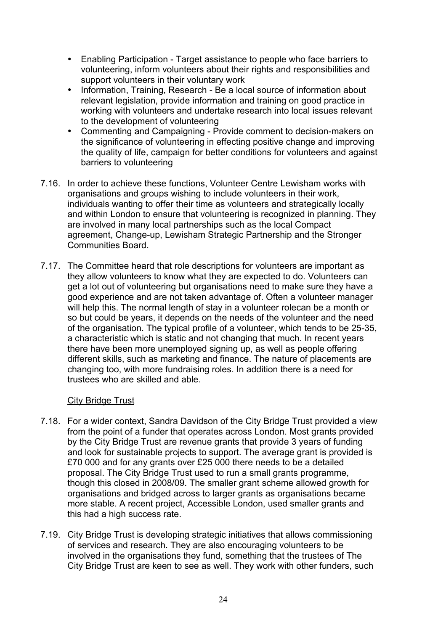- Enabling Participation Target assistance to people who face barriers to volunteering, inform volunteers about their rights and responsibilities and support volunteers in their voluntary work
- Information, Training, Research Be a local source of information about relevant legislation, provide information and training on good practice in working with volunteers and undertake research into local issues relevant to the development of volunteering
- Commenting and Campaigning Provide comment to decision-makers on the significance of volunteering in effecting positive change and improving the quality of life, campaign for better conditions for volunteers and against barriers to volunteering
- 7.16. In order to achieve these functions, Volunteer Centre Lewisham works with organisations and groups wishing to include volunteers in their work, individuals wanting to offer their time as volunteers and strategically locally and within London to ensure that volunteering is recognized in planning. They are involved in many local partnerships such as the local Compact agreement, Change-up, Lewisham Strategic Partnership and the Stronger Communities Board.
- 7.17. The Committee heard that role descriptions for volunteers are important as they allow volunteers to know what they are expected to do. Volunteers can get a lot out of volunteering but organisations need to make sure they have a good experience and are not taken advantage of. Often a volunteer manager will help this. The normal length of stay in a volunteer rolecan be a month or so but could be years, it depends on the needs of the volunteer and the need of the organisation. The typical profile of a volunteer, which tends to be 25-35, a characteristic which is static and not changing that much. In recent years there have been more unemployed signing up, as well as people offering different skills, such as marketing and finance. The nature of placements are changing too, with more fundraising roles. In addition there is a need for trustees who are skilled and able.

### City Bridge Trust

- 7.18. For a wider context, Sandra Davidson of the City Bridge Trust provided a view from the point of a funder that operates across London. Most grants provided by the City Bridge Trust are revenue grants that provide 3 years of funding and look for sustainable projects to support. The average grant is provided is £70 000 and for any grants over £25 000 there needs to be a detailed proposal. The City Bridge Trust used to run a small grants programme, though this closed in 2008/09. The smaller grant scheme allowed growth for organisations and bridged across to larger grants as organisations became more stable. A recent project, Accessible London, used smaller grants and this had a high success rate.
- 7.19. City Bridge Trust is developing strategic initiatives that allows commissioning of services and research. They are also encouraging volunteers to be involved in the organisations they fund, something that the trustees of The City Bridge Trust are keen to see as well. They work with other funders, such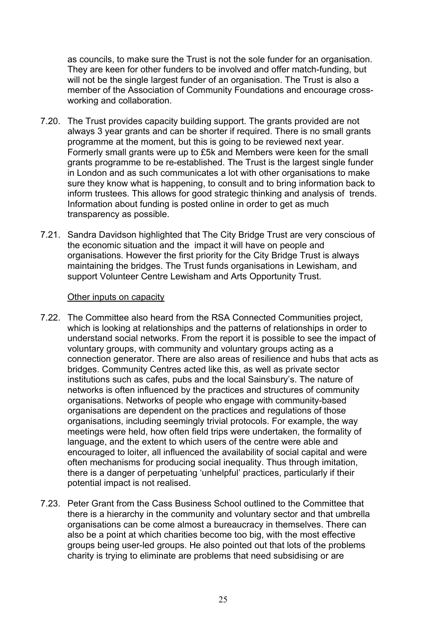as councils, to make sure the Trust is not the sole funder for an organisation. They are keen for other funders to be involved and offer match-funding, but will not be the single largest funder of an organisation. The Trust is also a member of the Association of Community Foundations and encourage crossworking and collaboration.

- 7.20. The Trust provides capacity building support. The grants provided are not always 3 year grants and can be shorter if required. There is no small grants programme at the moment, but this is going to be reviewed next year. Formerly small grants were up to £5k and Members were keen for the small grants programme to be re-established. The Trust is the largest single funder in London and as such communicates a lot with other organisations to make sure they know what is happening, to consult and to bring information back to inform trustees. This allows for good strategic thinking and analysis of trends. Information about funding is posted online in order to get as much transparency as possible.
- 7.21. Sandra Davidson highlighted that The City Bridge Trust are very conscious of the economic situation and the impact it will have on people and organisations. However the first priority for the City Bridge Trust is always maintaining the bridges. The Trust funds organisations in Lewisham, and support Volunteer Centre Lewisham and Arts Opportunity Trust.

#### Other inputs on capacity

- 7.22. The Committee also heard from the RSA Connected Communities project, which is looking at relationships and the patterns of relationships in order to understand social networks. From the report it is possible to see the impact of voluntary groups, with community and voluntary groups acting as a connection generator. There are also areas of resilience and hubs that acts as bridges. Community Centres acted like this, as well as private sector institutions such as cafes, pubs and the local Sainsbury's. The nature of networks is often influenced by the practices and structures of community organisations. Networks of people who engage with community-based organisations are dependent on the practices and regulations of those organisations, including seemingly trivial protocols. For example, the way meetings were held, how often field trips were undertaken, the formality of language, and the extent to which users of the centre were able and encouraged to loiter, all influenced the availability of social capital and were often mechanisms for producing social inequality. Thus through imitation, there is a danger of perpetuating 'unhelpful' practices, particularly if their potential impact is not realised.
- 7.23. Peter Grant from the Cass Business School outlined to the Committee that there is a hierarchy in the community and voluntary sector and that umbrella organisations can be come almost a bureaucracy in themselves. There can also be a point at which charities become too big, with the most effective groups being user-led groups. He also pointed out that lots of the problems charity is trying to eliminate are problems that need subsidising or are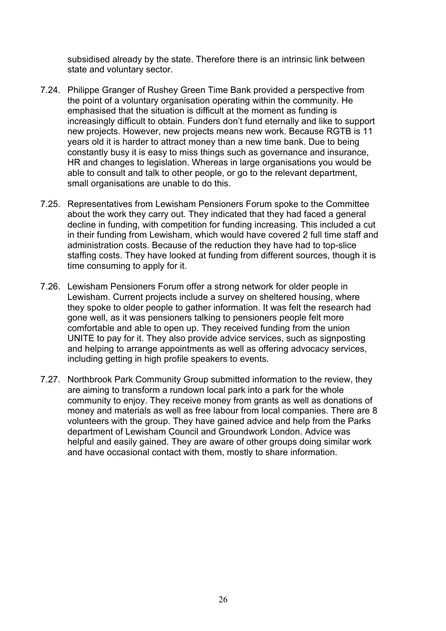subsidised already by the state. Therefore there is an intrinsic link between state and voluntary sector.

- 7.24. Philippe Granger of Rushey Green Time Bank provided a perspective from the point of a voluntary organisation operating within the community. He emphasised that the situation is difficult at the moment as funding is increasingly difficult to obtain. Funders don't fund eternally and like to support new projects. However, new projects means new work. Because RGTB is 11 years old it is harder to attract money than a new time bank. Due to being constantly busy it is easy to miss things such as governance and insurance, HR and changes to legislation. Whereas in large organisations you would be able to consult and talk to other people, or go to the relevant department, small organisations are unable to do this.
- 7.25. Representatives from Lewisham Pensioners Forum spoke to the Committee about the work they carry out. They indicated that they had faced a general decline in funding, with competition for funding increasing. This included a cut in their funding from Lewisham, which would have covered 2 full time staff and administration costs. Because of the reduction they have had to top-slice staffing costs. They have looked at funding from different sources, though it is time consuming to apply for it.
- 7.26. Lewisham Pensioners Forum offer a strong network for older people in Lewisham. Current projects include a survey on sheltered housing, where they spoke to older people to gather information. It was felt the research had gone well, as it was pensioners talking to pensioners people felt more comfortable and able to open up. They received funding from the union UNITE to pay for it. They also provide advice services, such as signposting and helping to arrange appointments as well as offering advocacy services, including getting in high profile speakers to events.
- 7.27. Northbrook Park Community Group submitted information to the review, they are aiming to transform a rundown local park into a park for the whole community to enjoy. They receive money from grants as well as donations of money and materials as well as free labour from local companies. There are 8 volunteers with the group. They have gained advice and help from the Parks department of Lewisham Council and Groundwork London. Advice was helpful and easily gained. They are aware of other groups doing similar work and have occasional contact with them, mostly to share information.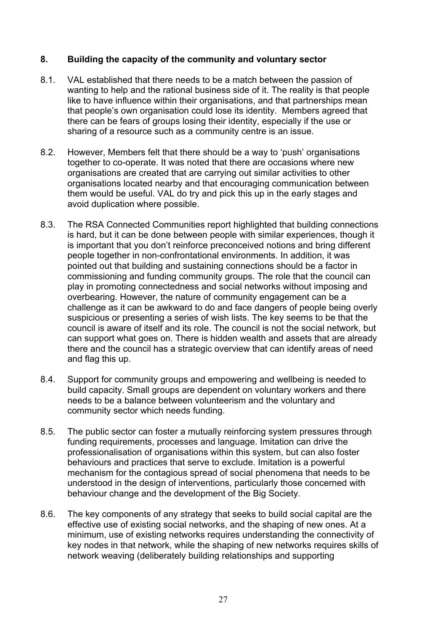# **8. Building the capacity of the community and voluntary sector**

- 8.1. VAL established that there needs to be a match between the passion of wanting to help and the rational business side of it. The reality is that people like to have influence within their organisations, and that partnerships mean that people's own organisation could lose its identity. Members agreed that there can be fears of groups losing their identity, especially if the use or sharing of a resource such as a community centre is an issue.
- 8.2. However, Members felt that there should be a way to 'push' organisations together to co-operate. It was noted that there are occasions where new organisations are created that are carrying out similar activities to other organisations located nearby and that encouraging communication between them would be useful. VAL do try and pick this up in the early stages and avoid duplication where possible.
- 8.3. The RSA Connected Communities report highlighted that building connections is hard, but it can be done between people with similar experiences, though it is important that you don't reinforce preconceived notions and bring different people together in non-confrontational environments. In addition, it was pointed out that building and sustaining connections should be a factor in commissioning and funding community groups. The role that the council can play in promoting connectedness and social networks without imposing and overbearing. However, the nature of community engagement can be a challenge as it can be awkward to do and face dangers of people being overly suspicious or presenting a series of wish lists. The key seems to be that the council is aware of itself and its role. The council is not the social network, but can support what goes on. There is hidden wealth and assets that are already there and the council has a strategic overview that can identify areas of need and flag this up.
- 8.4. Support for community groups and empowering and wellbeing is needed to build capacity. Small groups are dependent on voluntary workers and there needs to be a balance between volunteerism and the voluntary and community sector which needs funding.
- 8.5. The public sector can foster a mutually reinforcing system pressures through funding requirements, processes and language. Imitation can drive the professionalisation of organisations within this system, but can also foster behaviours and practices that serve to exclude. Imitation is a powerful mechanism for the contagious spread of social phenomena that needs to be understood in the design of interventions, particularly those concerned with behaviour change and the development of the Big Society.
- 8.6. The key components of any strategy that seeks to build social capital are the effective use of existing social networks, and the shaping of new ones. At a minimum, use of existing networks requires understanding the connectivity of key nodes in that network, while the shaping of new networks requires skills of network weaving (deliberately building relationships and supporting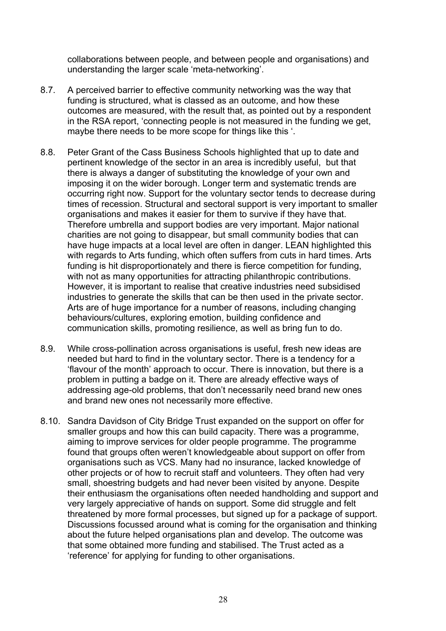collaborations between people, and between people and organisations) and understanding the larger scale 'meta-networking'.

- 8.7. A perceived barrier to effective community networking was the way that funding is structured, what is classed as an outcome, and how these outcomes are measured, with the result that, as pointed out by a respondent in the RSA report, 'connecting people is not measured in the funding we get, maybe there needs to be more scope for things like this '.
- 8.8. Peter Grant of the Cass Business Schools highlighted that up to date and pertinent knowledge of the sector in an area is incredibly useful, but that there is always a danger of substituting the knowledge of your own and imposing it on the wider borough. Longer term and systematic trends are occurring right now. Support for the voluntary sector tends to decrease during times of recession. Structural and sectoral support is very important to smaller organisations and makes it easier for them to survive if they have that. Therefore umbrella and support bodies are very important. Major national charities are not going to disappear, but small community bodies that can have huge impacts at a local level are often in danger. LEAN highlighted this with regards to Arts funding, which often suffers from cuts in hard times. Arts funding is hit disproportionately and there is fierce competition for funding, with not as many opportunities for attracting philanthropic contributions. However, it is important to realise that creative industries need subsidised industries to generate the skills that can be then used in the private sector. Arts are of huge importance for a number of reasons, including changing behaviours/cultures, exploring emotion, building confidence and communication skills, promoting resilience, as well as bring fun to do.
- 8.9. While cross-pollination across organisations is useful, fresh new ideas are needed but hard to find in the voluntary sector. There is a tendency for a 'flavour of the month' approach to occur. There is innovation, but there is a problem in putting a badge on it. There are already effective ways of addressing age-old problems, that don't necessarily need brand new ones and brand new ones not necessarily more effective.
- 8.10. Sandra Davidson of City Bridge Trust expanded on the support on offer for smaller groups and how this can build capacity. There was a programme, aiming to improve services for older people programme. The programme found that groups often weren't knowledgeable about support on offer from organisations such as VCS. Many had no insurance, lacked knowledge of other projects or of how to recruit staff and volunteers. They often had very small, shoestring budgets and had never been visited by anyone. Despite their enthusiasm the organisations often needed handholding and support and very largely appreciative of hands on support. Some did struggle and felt threatened by more formal processes, but signed up for a package of support. Discussions focussed around what is coming for the organisation and thinking about the future helped organisations plan and develop. The outcome was that some obtained more funding and stabilised. The Trust acted as a 'reference' for applying for funding to other organisations.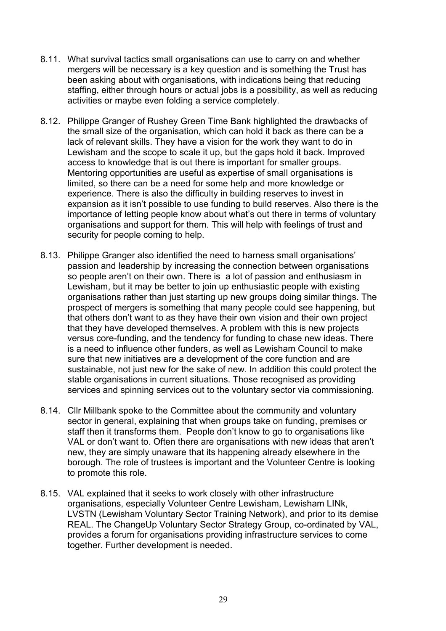- 8.11. What survival tactics small organisations can use to carry on and whether mergers will be necessary is a key question and is something the Trust has been asking about with organisations, with indications being that reducing staffing, either through hours or actual jobs is a possibility, as well as reducing activities or maybe even folding a service completely.
- 8.12. Philippe Granger of Rushey Green Time Bank highlighted the drawbacks of the small size of the organisation, which can hold it back as there can be a lack of relevant skills. They have a vision for the work they want to do in Lewisham and the scope to scale it up, but the gaps hold it back. Improved access to knowledge that is out there is important for smaller groups. Mentoring opportunities are useful as expertise of small organisations is limited, so there can be a need for some help and more knowledge or experience. There is also the difficulty in building reserves to invest in expansion as it isn't possible to use funding to build reserves. Also there is the importance of letting people know about what's out there in terms of voluntary organisations and support for them. This will help with feelings of trust and security for people coming to help.
- 8.13. Philippe Granger also identified the need to harness small organisations' passion and leadership by increasing the connection between organisations so people aren't on their own. There is a lot of passion and enthusiasm in Lewisham, but it may be better to join up enthusiastic people with existing organisations rather than just starting up new groups doing similar things. The prospect of mergers is something that many people could see happening, but that others don't want to as they have their own vision and their own project that they have developed themselves. A problem with this is new projects versus core-funding, and the tendency for funding to chase new ideas. There is a need to influence other funders, as well as Lewisham Council to make sure that new initiatives are a development of the core function and are sustainable, not just new for the sake of new. In addition this could protect the stable organisations in current situations. Those recognised as providing services and spinning services out to the voluntary sector via commissioning.
- 8.14. Cllr Millbank spoke to the Committee about the community and voluntary sector in general, explaining that when groups take on funding, premises or staff then it transforms them. People don't know to go to organisations like VAL or don't want to. Often there are organisations with new ideas that aren't new, they are simply unaware that its happening already elsewhere in the borough. The role of trustees is important and the Volunteer Centre is looking to promote this role.
- 8.15. VAL explained that it seeks to work closely with other infrastructure organisations, especially Volunteer Centre Lewisham, Lewisham LINk, LVSTN (Lewisham Voluntary Sector Training Network), and prior to its demise REAL. The ChangeUp Voluntary Sector Strategy Group, co-ordinated by VAL, provides a forum for organisations providing infrastructure services to come together. Further development is needed.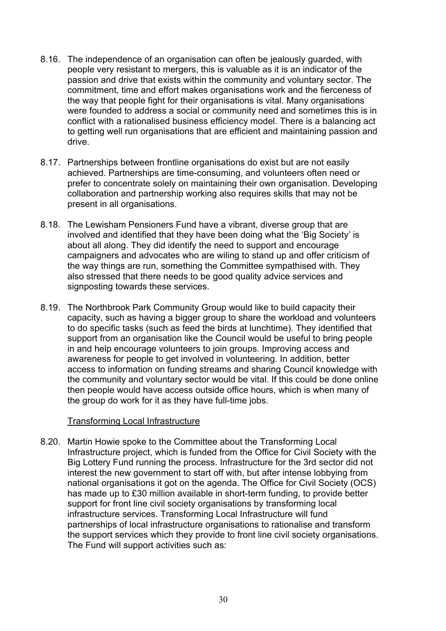- 8.16. The independence of an organisation can often be jealously guarded, with people very resistant to mergers, this is valuable as it is an indicator of the passion and drive that exists within the community and voluntary sector. The commitment, time and effort makes organisations work and the fierceness of the way that people fight for their organisations is vital. Many organisations were founded to address a social or community need and sometimes this is in conflict with a rationalised business efficiency model. There is a balancing act to getting well run organisations that are efficient and maintaining passion and drive.
- 8.17. Partnerships between frontline organisations do exist but are not easily achieved. Partnerships are time-consuming, and volunteers often need or prefer to concentrate solely on maintaining their own organisation. Developing collaboration and partnership working also requires skills that may not be present in all organisations.
- 8.18. The Lewisham Pensioners Fund have a vibrant, diverse group that are involved and identified that they have been doing what the 'Big Society' is about all along. They did identify the need to support and encourage campaigners and advocates who are wiling to stand up and offer criticism of the way things are run, something the Committee sympathised with. They also stressed that there needs to be good quality advice services and signposting towards these services.
- 8.19. The Northbrook Park Community Group would like to build capacity their capacity, such as having a bigger group to share the workload and volunteers to do specific tasks (such as feed the birds at lunchtime). They identified that support from an organisation like the Council would be useful to bring people in and help encourage volunteers to join groups. Improving access and awareness for people to get involved in volunteering. In addition, better access to information on funding streams and sharing Council knowledge with the community and voluntary sector would be vital. If this could be done online then people would have access outside office hours, which is when many of the group do work for it as they have full-time jobs.

### Transforming Local Infrastructure

8.20. Martin Howie spoke to the Committee about the Transforming Local Infrastructure project, which is funded from the Office for Civil Society with the Big Lottery Fund running the process. Infrastructure for the 3rd sector did not interest the new government to start off with, but after intense lobbying from national organisations it got on the agenda. The Office for Civil Society (OCS) has made up to £30 million available in short-term funding, to provide better support for front line civil society organisations by transforming local infrastructure services. Transforming Local Infrastructure will fund partnerships of local infrastructure organisations to rationalise and transform the support services which they provide to front line civil society organisations. The Fund will support activities such as: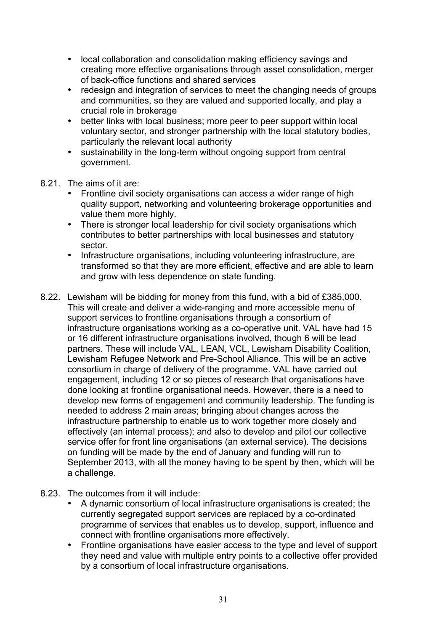- local collaboration and consolidation making efficiency savings and creating more effective organisations through asset consolidation, merger of back-office functions and shared services
- redesign and integration of services to meet the changing needs of groups and communities, so they are valued and supported locally, and play a crucial role in brokerage
- better links with local business; more peer to peer support within local voluntary sector, and stronger partnership with the local statutory bodies, particularly the relevant local authority
- sustainability in the long-term without ongoing support from central government.
- 8.21. The aims of it are:
	- Frontline civil society organisations can access a wider range of high quality support, networking and volunteering brokerage opportunities and value them more highly.
	- There is stronger local leadership for civil society organisations which contributes to better partnerships with local businesses and statutory sector.
	- Infrastructure organisations, including volunteering infrastructure, are transformed so that they are more efficient, effective and are able to learn and grow with less dependence on state funding.
- 8.22. Lewisham will be bidding for money from this fund, with a bid of £385,000. This will create and deliver a wide-ranging and more accessible menu of support services to frontline organisations through a consortium of infrastructure organisations working as a co-operative unit. VAL have had 15 or 16 different infrastructure organisations involved, though 6 will be lead partners. These will include VAL, LEAN, VCL, Lewisham Disability Coalition, Lewisham Refugee Network and Pre-School Alliance. This will be an active consortium in charge of delivery of the programme. VAL have carried out engagement, including 12 or so pieces of research that organisations have done looking at frontline organisational needs. However, there is a need to develop new forms of engagement and community leadership. The funding is needed to address 2 main areas; bringing about changes across the infrastructure partnership to enable us to work together more closely and effectively (an internal process); and also to develop and pilot our collective service offer for front line organisations (an external service). The decisions on funding will be made by the end of January and funding will run to September 2013, with all the money having to be spent by then, which will be a challenge.
- 8.23. The outcomes from it will include:
	- A dynamic consortium of local infrastructure organisations is created; the currently segregated support services are replaced by a co-ordinated programme of services that enables us to develop, support, influence and connect with frontline organisations more effectively.
	- Frontline organisations have easier access to the type and level of support they need and value with multiple entry points to a collective offer provided by a consortium of local infrastructure organisations.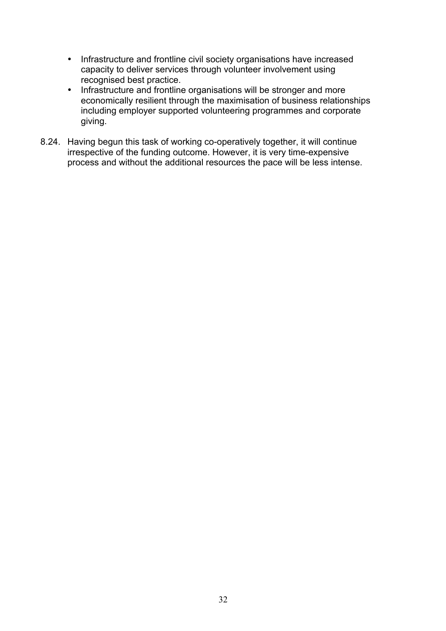- Infrastructure and frontline civil society organisations have increased capacity to deliver services through volunteer involvement using recognised best practice.
- Infrastructure and frontline organisations will be stronger and more economically resilient through the maximisation of business relationships including employer supported volunteering programmes and corporate giving.
- 8.24. Having begun this task of working co-operatively together, it will continue irrespective of the funding outcome. However, it is very time-expensive process and without the additional resources the pace will be less intense.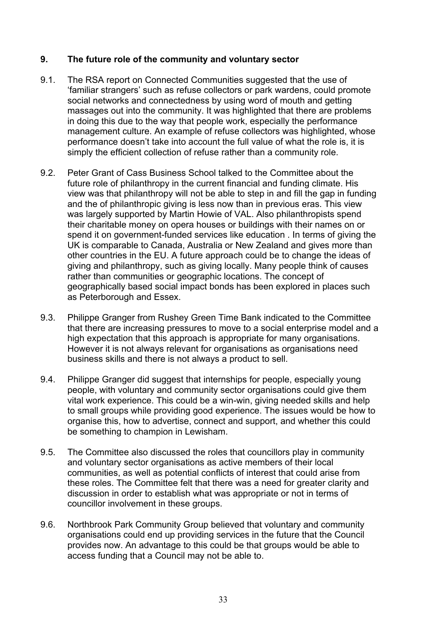# **9. The future role of the community and voluntary sector**

- 9.1. The RSA report on Connected Communities suggested that the use of 'familiar strangers' such as refuse collectors or park wardens, could promote social networks and connectedness by using word of mouth and getting massages out into the community. It was highlighted that there are problems in doing this due to the way that people work, especially the performance management culture. An example of refuse collectors was highlighted, whose performance doesn't take into account the full value of what the role is, it is simply the efficient collection of refuse rather than a community role.
- 9.2. Peter Grant of Cass Business School talked to the Committee about the future role of philanthropy in the current financial and funding climate. His view was that philanthropy will not be able to step in and fill the gap in funding and the of philanthropic giving is less now than in previous eras. This view was largely supported by Martin Howie of VAL. Also philanthropists spend their charitable money on opera houses or buildings with their names on or spend it on government-funded services like education . In terms of giving the UK is comparable to Canada, Australia or New Zealand and gives more than other countries in the EU. A future approach could be to change the ideas of giving and philanthropy, such as giving locally. Many people think of causes rather than communities or geographic locations. The concept of geographically based social impact bonds has been explored in places such as Peterborough and Essex.
- 9.3. Philippe Granger from Rushey Green Time Bank indicated to the Committee that there are increasing pressures to move to a social enterprise model and a high expectation that this approach is appropriate for many organisations. However it is not always relevant for organisations as organisations need business skills and there is not always a product to sell.
- 9.4. Philippe Granger did suggest that internships for people, especially young people, with voluntary and community sector organisations could give them vital work experience. This could be a win-win, giving needed skills and help to small groups while providing good experience. The issues would be how to organise this, how to advertise, connect and support, and whether this could be something to champion in Lewisham.
- 9.5. The Committee also discussed the roles that councillors play in community and voluntary sector organisations as active members of their local communities, as well as potential conflicts of interest that could arise from these roles. The Committee felt that there was a need for greater clarity and discussion in order to establish what was appropriate or not in terms of councillor involvement in these groups.
- 9.6. Northbrook Park Community Group believed that voluntary and community organisations could end up providing services in the future that the Council provides now. An advantage to this could be that groups would be able to access funding that a Council may not be able to.